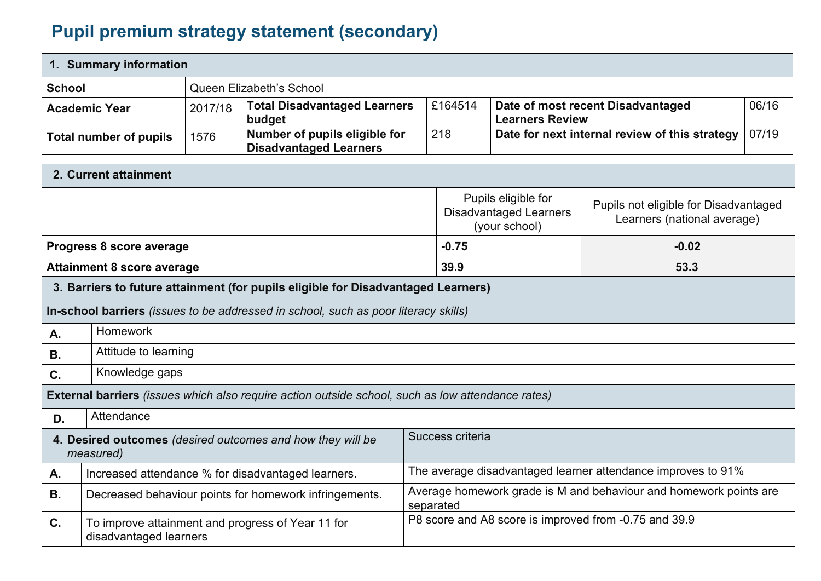## **Pupil premium strategy statement (secondary)**

disadvantaged learners

|                                                                         | 1. Summary information                                                                                                                        |         |                                                                                                   |                  |                                                                        |  |                                                                   |  |
|-------------------------------------------------------------------------|-----------------------------------------------------------------------------------------------------------------------------------------------|---------|---------------------------------------------------------------------------------------------------|------------------|------------------------------------------------------------------------|--|-------------------------------------------------------------------|--|
|                                                                         | <b>School</b><br>Queen Elizabeth's School                                                                                                     |         |                                                                                                   |                  |                                                                        |  |                                                                   |  |
|                                                                         | <b>Academic Year</b>                                                                                                                          | 2017/18 | <b>Total Disadvantaged Learners</b><br>budget                                                     |                  | £164514<br>Date of most recent Disadvantaged<br><b>Learners Review</b> |  | 06/16                                                             |  |
|                                                                         | <b>Total number of pupils</b>                                                                                                                 | 1576    | Number of pupils eligible for<br><b>Disadvantaged Learners</b>                                    | 218              | Date for next internal review of this strategy                         |  | 07/19                                                             |  |
|                                                                         | 2. Current attainment                                                                                                                         |         |                                                                                                   |                  |                                                                        |  |                                                                   |  |
|                                                                         | Pupils eligible for<br>Pupils not eligible for Disadvantaged<br><b>Disadvantaged Learners</b><br>Learners (national average)<br>(your school) |         |                                                                                                   |                  |                                                                        |  |                                                                   |  |
|                                                                         | Progress 8 score average                                                                                                                      |         |                                                                                                   | $-0.75$          |                                                                        |  | $-0.02$                                                           |  |
| 39.9<br><b>Attainment 8 score average</b><br>53.3                       |                                                                                                                                               |         |                                                                                                   |                  |                                                                        |  |                                                                   |  |
|                                                                         |                                                                                                                                               |         | 3. Barriers to future attainment (for pupils eligible for Disadvantaged Learners)                 |                  |                                                                        |  |                                                                   |  |
|                                                                         |                                                                                                                                               |         | In-school barriers (issues to be addressed in school, such as poor literacy skills)               |                  |                                                                        |  |                                                                   |  |
| Α.                                                                      | Homework                                                                                                                                      |         |                                                                                                   |                  |                                                                        |  |                                                                   |  |
| <b>B.</b>                                                               | Attitude to learning                                                                                                                          |         |                                                                                                   |                  |                                                                        |  |                                                                   |  |
| C.                                                                      | Knowledge gaps                                                                                                                                |         |                                                                                                   |                  |                                                                        |  |                                                                   |  |
|                                                                         |                                                                                                                                               |         | External barriers (issues which also require action outside school, such as low attendance rates) |                  |                                                                        |  |                                                                   |  |
| D.                                                                      | Attendance                                                                                                                                    |         |                                                                                                   |                  |                                                                        |  |                                                                   |  |
| 4. Desired outcomes (desired outcomes and how they will be<br>measured) |                                                                                                                                               |         |                                                                                                   | Success criteria |                                                                        |  |                                                                   |  |
| А.                                                                      |                                                                                                                                               |         | Increased attendance % for disadvantaged learners.                                                |                  |                                                                        |  | The average disadvantaged learner attendance improves to 91%      |  |
| В.                                                                      |                                                                                                                                               |         | Decreased behaviour points for homework infringements.                                            | separated        |                                                                        |  | Average homework grade is M and behaviour and homework points are |  |
| C.                                                                      |                                                                                                                                               |         | To improve attainment and progress of Year 11 for                                                 |                  |                                                                        |  | P8 score and A8 score is improved from -0.75 and 39.9             |  |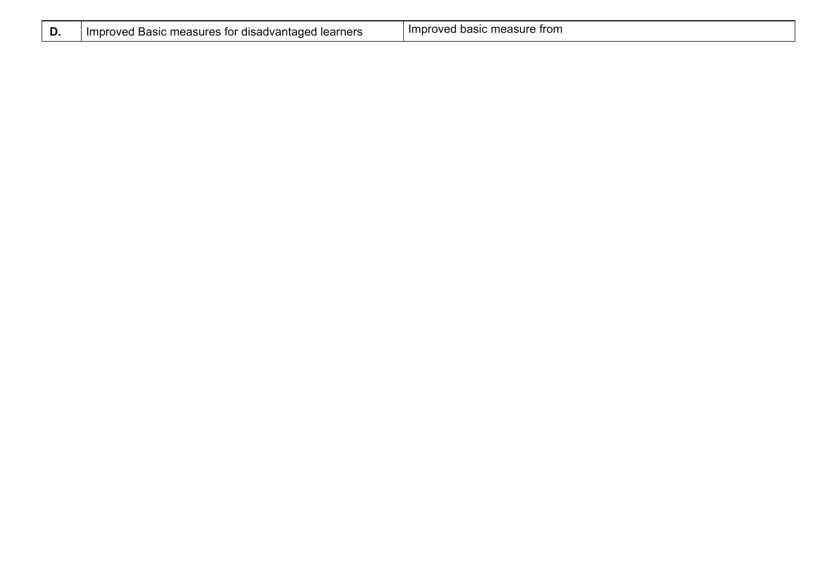| υ. | Improved Basic measures for disadvantaged learners | Improved basic measure from |
|----|----------------------------------------------------|-----------------------------|
|----|----------------------------------------------------|-----------------------------|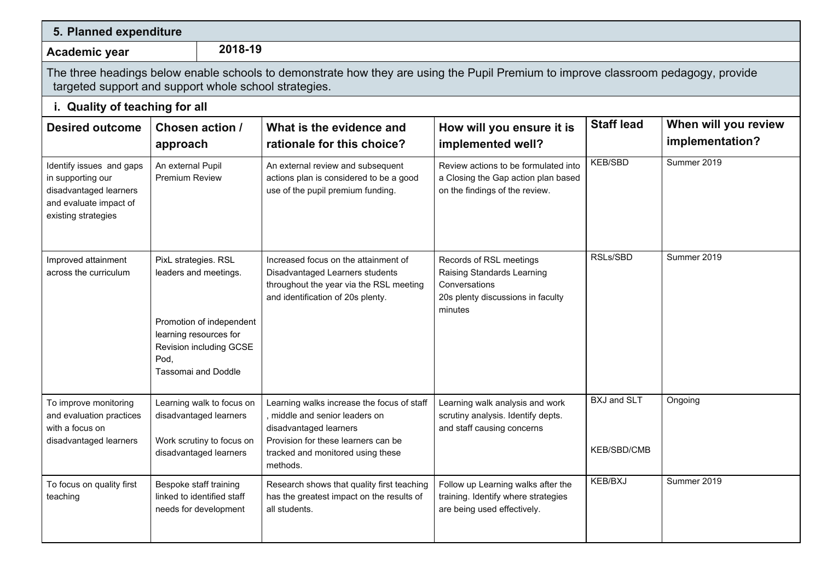| 5. Planned expenditure                                                                                                   |                                                                                                                                                                      |                                                                                                                                                                                                |                                                                                                                        |                                          |                                         |
|--------------------------------------------------------------------------------------------------------------------------|----------------------------------------------------------------------------------------------------------------------------------------------------------------------|------------------------------------------------------------------------------------------------------------------------------------------------------------------------------------------------|------------------------------------------------------------------------------------------------------------------------|------------------------------------------|-----------------------------------------|
| Academic year                                                                                                            | 2018-19                                                                                                                                                              |                                                                                                                                                                                                |                                                                                                                        |                                          |                                         |
|                                                                                                                          | targeted support and support whole school strategies.                                                                                                                | The three headings below enable schools to demonstrate how they are using the Pupil Premium to improve classroom pedagogy, provide                                                             |                                                                                                                        |                                          |                                         |
| i. Quality of teaching for all                                                                                           |                                                                                                                                                                      |                                                                                                                                                                                                |                                                                                                                        |                                          |                                         |
| <b>Desired outcome</b>                                                                                                   | <b>Chosen action /</b><br>approach                                                                                                                                   | What is the evidence and<br>rationale for this choice?                                                                                                                                         | How will you ensure it is<br>implemented well?                                                                         | <b>Staff lead</b>                        | When will you review<br>implementation? |
| Identify issues and gaps<br>in supporting our<br>disadvantaged learners<br>and evaluate impact of<br>existing strategies | An external Pupil<br>Premium Review                                                                                                                                  | An external review and subsequent<br>actions plan is considered to be a good<br>use of the pupil premium funding.                                                                              | Review actions to be formulated into<br>a Closing the Gap action plan based<br>on the findings of the review.          | <b>KEB/SBD</b>                           | Summer 2019                             |
| Improved attainment<br>across the curriculum                                                                             | PixL strategies. RSL<br>leaders and meetings.<br>Promotion of independent<br>learning resources for<br>Revision including GCSE<br>Pod,<br><b>Tassomai and Doddle</b> | Increased focus on the attainment of<br>Disadvantaged Learners students<br>throughout the year via the RSL meeting<br>and identification of 20s plenty.                                        | Records of RSL meetings<br>Raising Standards Learning<br>Conversations<br>20s plenty discussions in faculty<br>minutes | RSLs/SBD                                 | Summer 2019                             |
| To improve monitoring<br>and evaluation practices<br>with a focus on<br>disadvantaged learners                           | Learning walk to focus on<br>disadvantaged learners<br>Work scrutiny to focus on<br>disadvantaged learners                                                           | Learning walks increase the focus of staff<br>, middle and senior leaders on<br>disadvantaged learners<br>Provision for these learners can be<br>tracked and monitored using these<br>methods. | Learning walk analysis and work<br>scrutiny analysis. Identify depts.<br>and staff causing concerns                    | <b>BXJ and SLT</b><br><b>KEB/SBD/CMB</b> | Ongoing                                 |
| To focus on quality first<br>teaching                                                                                    | Bespoke staff training<br>linked to identified staff<br>needs for development                                                                                        | Research shows that quality first teaching<br>has the greatest impact on the results of<br>all students.                                                                                       | Follow up Learning walks after the<br>training. Identify where strategies<br>are being used effectively.               | <b>KEB/BXJ</b>                           | Summer 2019                             |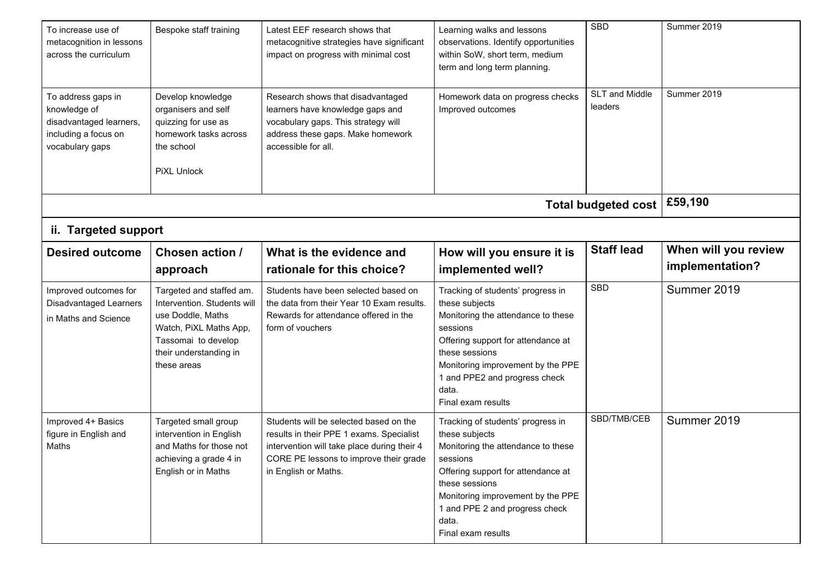| To increase use of<br>metacognition in lessons<br>across the curriculum                                  | Bespoke staff training                                                                                                                                                 | Latest EEF research shows that<br>metacognitive strategies have significant<br>impact on progress with minimal cost                                                                                 | Learning walks and lessons<br>observations. Identify opportunities<br>within SoW, short term, medium<br>term and long term planning.                                                                                                                                | <b>SBD</b>                 | Summer 2019                             |
|----------------------------------------------------------------------------------------------------------|------------------------------------------------------------------------------------------------------------------------------------------------------------------------|-----------------------------------------------------------------------------------------------------------------------------------------------------------------------------------------------------|---------------------------------------------------------------------------------------------------------------------------------------------------------------------------------------------------------------------------------------------------------------------|----------------------------|-----------------------------------------|
| To address gaps in<br>knowledge of<br>disadvantaged learners,<br>including a focus on<br>vocabulary gaps | Develop knowledge<br>organisers and self<br>quizzing for use as<br>homework tasks across<br>the school<br><b>PiXL Unlock</b>                                           | Research shows that disadvantaged<br>learners have knowledge gaps and<br>vocabulary gaps. This strategy will<br>address these gaps. Make homework<br>accessible for all.                            | Homework data on progress checks<br>Improved outcomes                                                                                                                                                                                                               | SLT and Middle<br>leaders  | Summer 2019                             |
|                                                                                                          |                                                                                                                                                                        |                                                                                                                                                                                                     |                                                                                                                                                                                                                                                                     | <b>Total budgeted cost</b> | £59,190                                 |
| ii. Targeted support                                                                                     |                                                                                                                                                                        |                                                                                                                                                                                                     |                                                                                                                                                                                                                                                                     |                            |                                         |
| <b>Desired outcome</b>                                                                                   | Chosen action /<br>approach                                                                                                                                            | What is the evidence and<br>rationale for this choice?                                                                                                                                              | How will you ensure it is<br>implemented well?                                                                                                                                                                                                                      | <b>Staff lead</b>          | When will you review<br>implementation? |
| Improved outcomes for<br>Disadvantaged Learners<br>in Maths and Science                                  | Targeted and staffed am.<br>Intervention. Students will<br>use Doddle, Maths<br>Watch, PiXL Maths App,<br>Tassomai to develop<br>their understanding in<br>these areas | Students have been selected based on<br>the data from their Year 10 Exam results.<br>Rewards for attendance offered in the<br>form of vouchers                                                      | Tracking of students' progress in<br>these subjects<br>Monitoring the attendance to these<br>sessions<br>Offering support for attendance at<br>these sessions<br>Monitoring improvement by the PPE<br>1 and PPE2 and progress check<br>data.<br>Final exam results  | <b>SBD</b>                 | Summer 2019                             |
| Improved 4+ Basics<br>figure in English and<br>Maths                                                     | Targeted small group<br>intervention in English<br>and Maths for those not<br>achieving a grade 4 in<br>English or in Maths                                            | Students will be selected based on the<br>results in their PPE 1 exams. Specialist<br>intervention will take place during their 4<br>CORE PE lessons to improve their grade<br>in English or Maths. | Tracking of students' progress in<br>these subjects<br>Monitoring the attendance to these<br>sessions<br>Offering support for attendance at<br>these sessions<br>Monitoring improvement by the PPE<br>1 and PPE 2 and progress check<br>data.<br>Final exam results | SBD/TMB/CEB                | Summer 2019                             |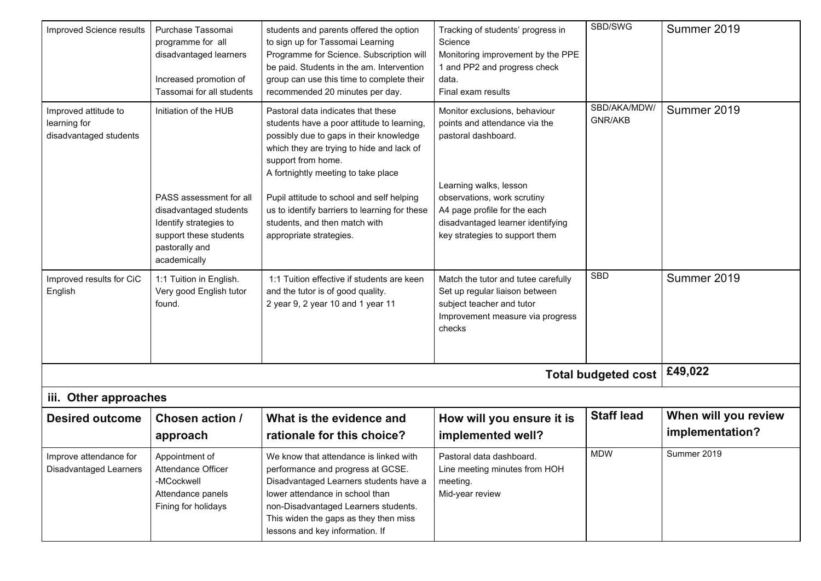| Improved Science results                                       | Purchase Tassomai<br>programme for all<br>disadvantaged learners<br>Increased promotion of<br>Tassomai for all students                                          | students and parents offered the option<br>to sign up for Tassomai Learning<br>Programme for Science. Subscription will<br>be paid. Students in the am. Intervention<br>group can use this time to complete their<br>recommended 20 minutes per day.                                                                                                                                           | Tracking of students' progress in<br>Science<br>Monitoring improvement by the PPE<br>1 and PP2 and progress check<br>data.<br>Final exam results                                                                                                      | SBD/SWG                        | Summer 2019                             |
|----------------------------------------------------------------|------------------------------------------------------------------------------------------------------------------------------------------------------------------|------------------------------------------------------------------------------------------------------------------------------------------------------------------------------------------------------------------------------------------------------------------------------------------------------------------------------------------------------------------------------------------------|-------------------------------------------------------------------------------------------------------------------------------------------------------------------------------------------------------------------------------------------------------|--------------------------------|-----------------------------------------|
| Improved attitude to<br>learning for<br>disadvantaged students | Initiation of the HUB<br>PASS assessment for all<br>disadvantaged students<br>Identify strategies to<br>support these students<br>pastorally and<br>academically | Pastoral data indicates that these<br>students have a poor attitude to learning<br>possibly due to gaps in their knowledge<br>which they are trying to hide and lack of<br>support from home.<br>A fortnightly meeting to take place<br>Pupil attitude to school and self helping<br>us to identify barriers to learning for these<br>students, and then match with<br>appropriate strategies. | Monitor exclusions, behaviour<br>points and attendance via the<br>pastoral dashboard.<br>Learning walks, lesson<br>observations, work scrutiny<br>A4 page profile for the each<br>disadvantaged learner identifying<br>key strategies to support them | SBD/AKA/MDW/<br><b>GNR/AKB</b> | Summer 2019                             |
| Improved results for CiC<br>English                            | 1:1 Tuition in English.<br>Very good English tutor<br>found.                                                                                                     | 1:1 Tuition effective if students are keen<br>and the tutor is of good quality.<br>2 year 9, 2 year 10 and 1 year 11                                                                                                                                                                                                                                                                           | Match the tutor and tutee carefully<br>Set up regular liaison between<br>subject teacher and tutor<br>Improvement measure via progress<br>checks                                                                                                      | <b>SBD</b>                     | Summer 2019                             |
|                                                                |                                                                                                                                                                  |                                                                                                                                                                                                                                                                                                                                                                                                |                                                                                                                                                                                                                                                       | <b>Total budgeted cost</b>     | £49,022                                 |
| iii. Other approaches                                          |                                                                                                                                                                  |                                                                                                                                                                                                                                                                                                                                                                                                |                                                                                                                                                                                                                                                       |                                |                                         |
| <b>Desired outcome</b>                                         | Chosen action /<br>approach                                                                                                                                      | What is the evidence and<br>rationale for this choice?                                                                                                                                                                                                                                                                                                                                         | How will you ensure it is<br>implemented well?                                                                                                                                                                                                        | <b>Staff lead</b>              | When will you review<br>implementation? |
| Improve attendance for<br>Disadvantaged Learners               | Appointment of<br>Attendance Officer<br>-MCockwell<br>Attendance panels<br>Fining for holidays                                                                   | We know that attendance is linked with<br>performance and progress at GCSE.<br>Disadvantaged Learners students have a<br>lower attendance in school than<br>non-Disadvantaged Learners students.<br>This widen the gaps as they then miss<br>lessons and key information. If                                                                                                                   | Pastoral data dashboard.<br>Line meeting minutes from HOH<br>meeting.<br>Mid-year review                                                                                                                                                              | <b>MDW</b>                     | Summer 2019                             |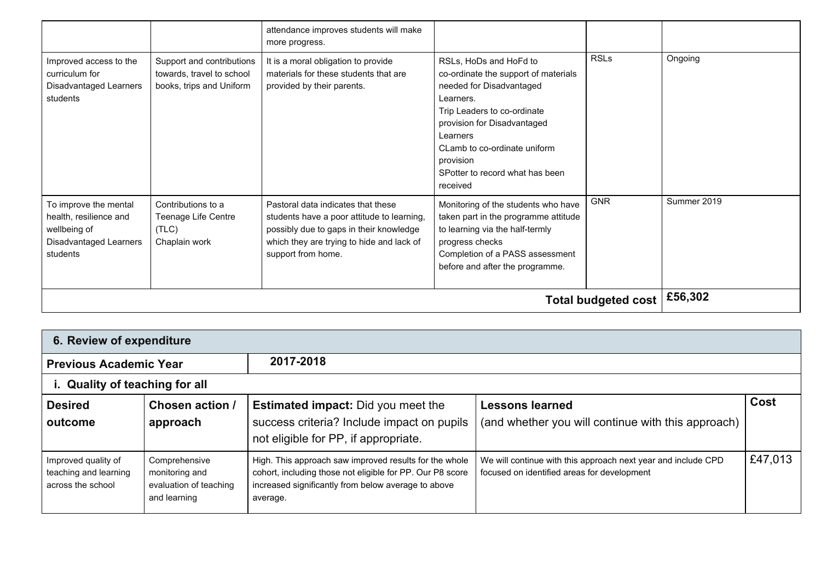|                                                                                                              |                                                                                    | attendance improves students will make<br>more progress.                                                                                                                                       |                                                                                                                                                                                                                                                                               |             |             |
|--------------------------------------------------------------------------------------------------------------|------------------------------------------------------------------------------------|------------------------------------------------------------------------------------------------------------------------------------------------------------------------------------------------|-------------------------------------------------------------------------------------------------------------------------------------------------------------------------------------------------------------------------------------------------------------------------------|-------------|-------------|
| Improved access to the<br>curriculum for<br><b>Disadvantaged Learners</b><br>students                        | Support and contributions<br>towards, travel to school<br>books, trips and Uniform | It is a moral obligation to provide<br>materials for these students that are<br>provided by their parents.                                                                                     | RSLs, HoDs and HoFd to<br>co-ordinate the support of materials<br>needed for Disadvantaged<br>Learners.<br>Trip Leaders to co-ordinate<br>provision for Disadvantaged<br>Learners<br>CLamb to co-ordinate uniform<br>provision<br>SPotter to record what has been<br>received | <b>RSLs</b> | Ongoing     |
| To improve the mental<br>health, resilience and<br>wellbeing of<br><b>Disadvantaged Learners</b><br>students | Contributions to a<br>Teenage Life Centre<br>(TLC)<br>Chaplain work                | Pastoral data indicates that these<br>students have a poor attitude to learning,<br>possibly due to gaps in their knowledge<br>which they are trying to hide and lack of<br>support from home. | Monitoring of the students who have<br>taken part in the programme attitude<br>to learning via the half-termly<br>progress checks<br>Completion of a PASS assessment<br>before and after the programme.                                                                       | <b>GNR</b>  | Summer 2019 |
|                                                                                                              | £56,302                                                                            |                                                                                                                                                                                                |                                                                                                                                                                                                                                                                               |             |             |

| 6. Review of expenditure                                          |                                                                           |                                                                                                                                                                                        |                                                                                                              |             |  |  |  |
|-------------------------------------------------------------------|---------------------------------------------------------------------------|----------------------------------------------------------------------------------------------------------------------------------------------------------------------------------------|--------------------------------------------------------------------------------------------------------------|-------------|--|--|--|
| <b>Previous Academic Year</b>                                     |                                                                           | 2017-2018                                                                                                                                                                              |                                                                                                              |             |  |  |  |
| i. Quality of teaching for all                                    |                                                                           |                                                                                                                                                                                        |                                                                                                              |             |  |  |  |
| <b>Desired</b><br>outcome                                         | <b>Chosen action /</b><br>approach                                        | <b>Estimated impact:</b> Did you meet the<br>success criteria? Include impact on pupils<br>not eligible for PP, if appropriate.                                                        | <b>Lessons learned</b><br>(and whether you will continue with this approach)                                 | <b>Cost</b> |  |  |  |
| Improved quality of<br>teaching and learning<br>across the school | Comprehensive<br>monitoring and<br>evaluation of teaching<br>and learning | High. This approach saw improved results for the whole<br>cohort, including those not eligible for PP. Our P8 score<br>increased significantly from below average to above<br>average. | We will continue with this approach next year and include CPD<br>focused on identified areas for development | £47,013     |  |  |  |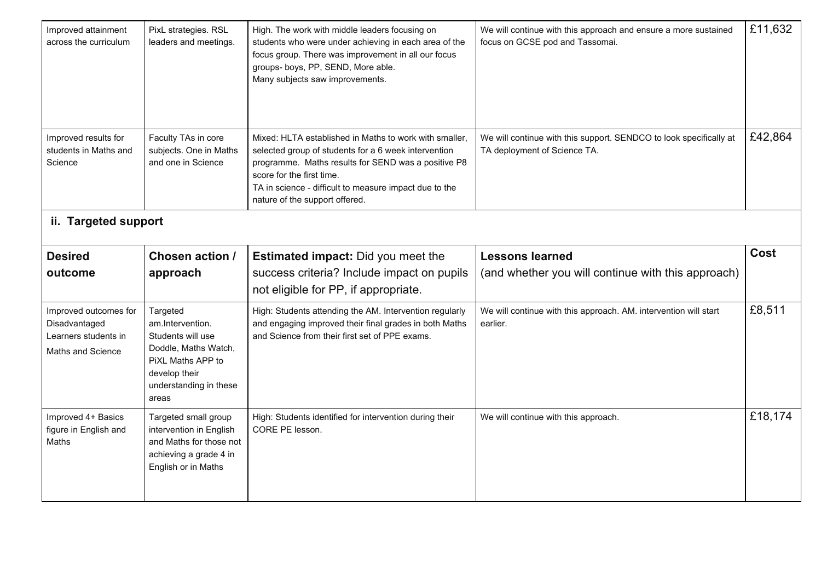| Improved attainment<br>across the curriculum                                        | PixL strategies. RSL<br>leaders and meetings.                                                                                                      | High. The work with middle leaders focusing on<br>students who were under achieving in each area of the<br>focus group. There was improvement in all our focus<br>groups- boys, PP, SEND, More able.<br>Many subjects saw improvements.                                                        | We will continue with this approach and ensure a more sustained<br>focus on GCSE pod and Tassomai. | £11,632 |
|-------------------------------------------------------------------------------------|----------------------------------------------------------------------------------------------------------------------------------------------------|------------------------------------------------------------------------------------------------------------------------------------------------------------------------------------------------------------------------------------------------------------------------------------------------|----------------------------------------------------------------------------------------------------|---------|
| Improved results for<br>students in Maths and<br>Science                            | Faculty TAs in core<br>subjects. One in Maths<br>and one in Science                                                                                | Mixed: HLTA established in Maths to work with smaller,<br>selected group of students for a 6 week intervention<br>programme. Maths results for SEND was a positive P8<br>score for the first time.<br>TA in science - difficult to measure impact due to the<br>nature of the support offered. | We will continue with this support. SENDCO to look specifically at<br>TA deployment of Science TA. | £42,864 |
| ii. Targeted support                                                                |                                                                                                                                                    |                                                                                                                                                                                                                                                                                                |                                                                                                    |         |
| <b>Desired</b>                                                                      | <b>Chosen action /</b>                                                                                                                             | <b>Estimated impact:</b> Did you meet the                                                                                                                                                                                                                                                      | <b>Lessons learned</b>                                                                             | Cost    |
| outcome                                                                             |                                                                                                                                                    |                                                                                                                                                                                                                                                                                                |                                                                                                    |         |
|                                                                                     | approach                                                                                                                                           | success criteria? Include impact on pupils<br>not eligible for PP, if appropriate.                                                                                                                                                                                                             | (and whether you will continue with this approach)                                                 |         |
| Improved outcomes for<br>Disadvantaged<br>Learners students in<br>Maths and Science | Targeted<br>am.Intervention.<br>Students will use<br>Doddle, Maths Watch,<br>PiXL Maths APP to<br>develop their<br>understanding in these<br>areas | High: Students attending the AM. Intervention regularly<br>and engaging improved their final grades in both Maths<br>and Science from their first set of PPE exams.                                                                                                                            | We will continue with this approach. AM. intervention will start<br>earlier.                       | £8,511  |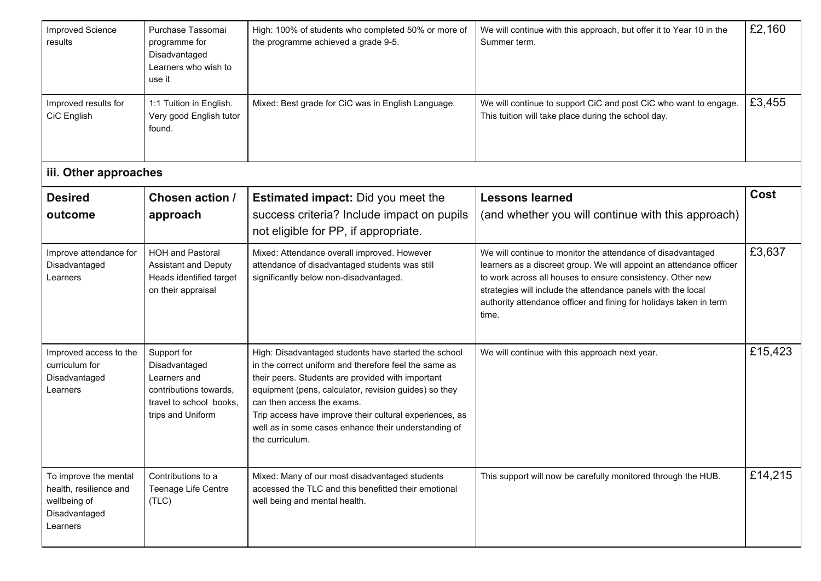| <b>Improved Science</b><br>results                                                           | Purchase Tassomai<br>programme for<br>Disadvantaged<br>Learners who wish to<br>use it                                  | High: 100% of students who completed 50% or more of<br>the programme achieved a grade 9-5.                                                                                                                                                                                                                                                                                                      | We will continue with this approach, but offer it to Year 10 in the<br>Summer term.                                                                                                                                                                                                                                                             | £2,160  |
|----------------------------------------------------------------------------------------------|------------------------------------------------------------------------------------------------------------------------|-------------------------------------------------------------------------------------------------------------------------------------------------------------------------------------------------------------------------------------------------------------------------------------------------------------------------------------------------------------------------------------------------|-------------------------------------------------------------------------------------------------------------------------------------------------------------------------------------------------------------------------------------------------------------------------------------------------------------------------------------------------|---------|
| Improved results for<br>CiC English                                                          | 1:1 Tuition in English.<br>Very good English tutor<br>found.                                                           | Mixed: Best grade for CiC was in English Language.                                                                                                                                                                                                                                                                                                                                              | We will continue to support CiC and post CiC who want to engage.<br>This tuition will take place during the school day.                                                                                                                                                                                                                         | £3,455  |
| iii. Other approaches                                                                        |                                                                                                                        |                                                                                                                                                                                                                                                                                                                                                                                                 |                                                                                                                                                                                                                                                                                                                                                 |         |
| <b>Desired</b><br>outcome                                                                    | <b>Chosen action /</b><br>approach                                                                                     | <b>Estimated impact:</b> Did you meet the<br>success criteria? Include impact on pupils<br>not eligible for PP, if appropriate.                                                                                                                                                                                                                                                                 | <b>Lessons learned</b><br>(and whether you will continue with this approach)                                                                                                                                                                                                                                                                    | Cost    |
| Improve attendance for<br>Disadvantaged<br>Learners                                          | <b>HOH and Pastoral</b><br><b>Assistant and Deputy</b><br>Heads identified target<br>on their appraisal                | Mixed: Attendance overall improved. However<br>attendance of disadvantaged students was still<br>significantly below non-disadvantaged.                                                                                                                                                                                                                                                         | We will continue to monitor the attendance of disadvantaged<br>learners as a discreet group. We will appoint an attendance officer<br>to work across all houses to ensure consistency. Other new<br>strategies will include the attendance panels with the local<br>authority attendance officer and fining for holidays taken in term<br>time. | £3,637  |
| Improved access to the<br>curriculum for<br>Disadvantaged<br>Learners                        | Support for<br>Disadvantaged<br>Learners and<br>contributions towards,<br>travel to school books.<br>trips and Uniform | High: Disadvantaged students have started the school<br>in the correct uniform and therefore feel the same as<br>their peers. Students are provided with important<br>equipment (pens, calculator, revision guides) so they<br>can then access the exams.<br>Trip access have improve their cultural experiences, as<br>well as in some cases enhance their understanding of<br>the curriculum. | We will continue with this approach next year.                                                                                                                                                                                                                                                                                                  | £15,423 |
| To improve the mental<br>health, resilience and<br>wellbeing of<br>Disadvantaged<br>Learners | Contributions to a<br>Teenage Life Centre<br>(TLC)                                                                     | Mixed: Many of our most disadvantaged students<br>accessed the TLC and this benefitted their emotional<br>well being and mental health.                                                                                                                                                                                                                                                         | This support will now be carefully monitored through the HUB.                                                                                                                                                                                                                                                                                   | £14,215 |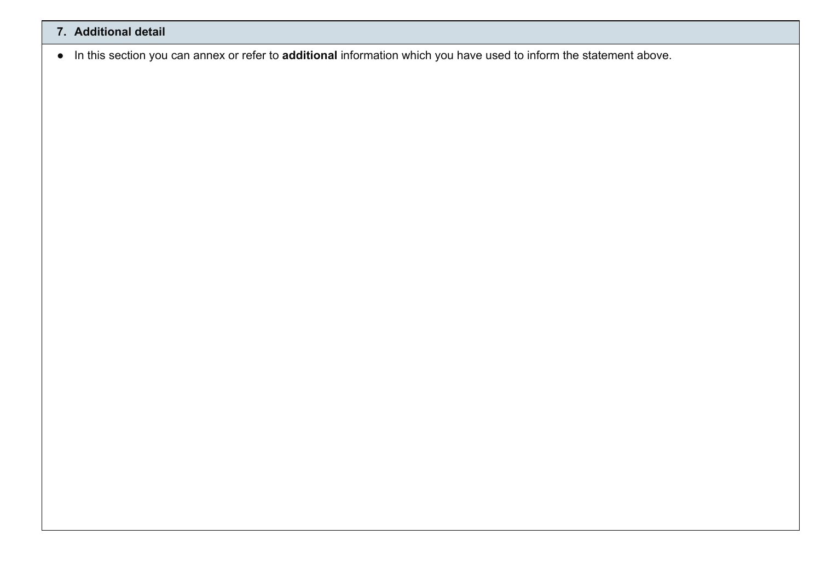## **7. Additional detail**

● In this section you can annex or refer to **additional** information which you have used to inform the statement above.